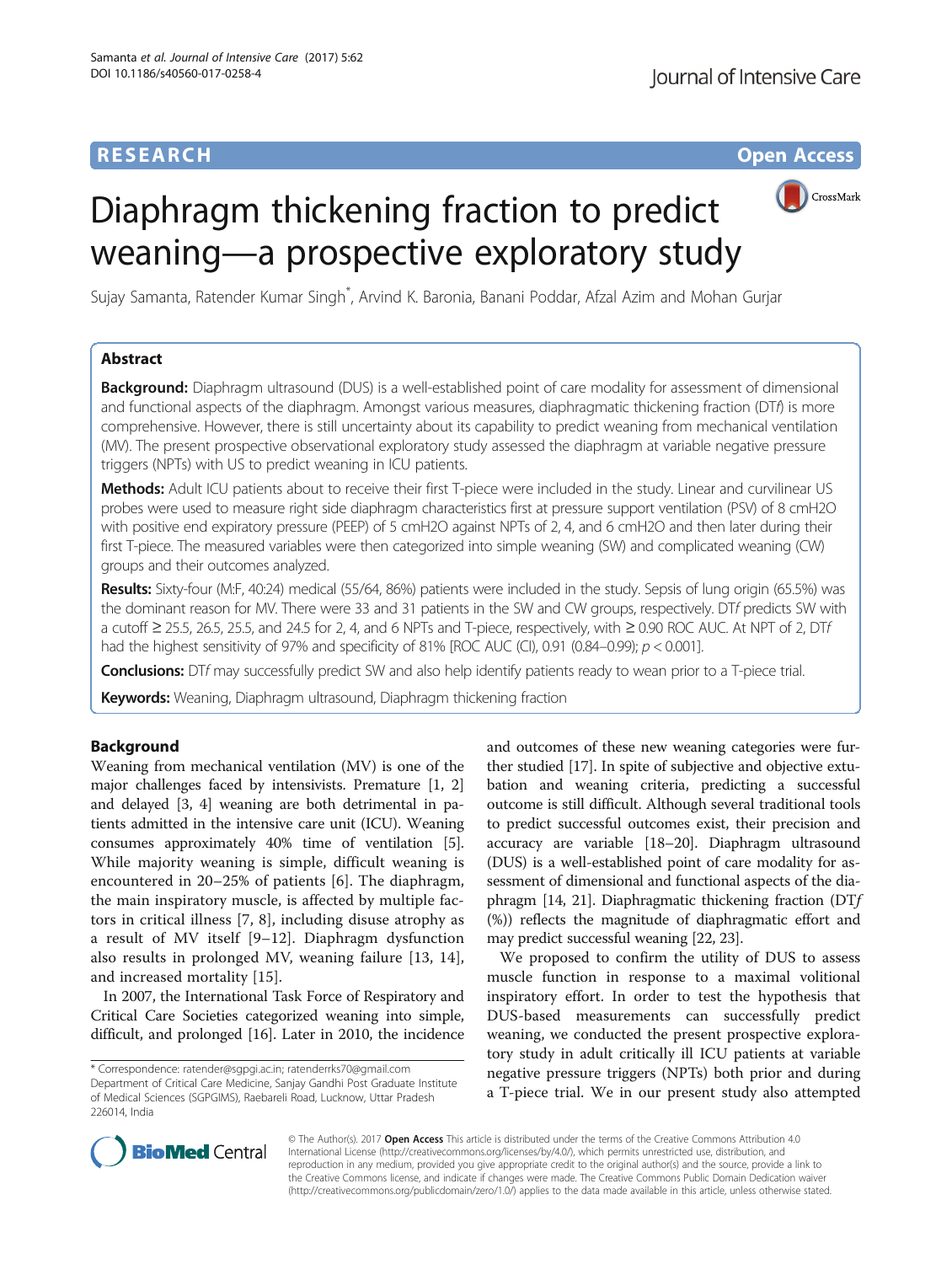# **RESEARCH CHINESE ARCH CHINESE ARCHITECT ARCHITECT ARCHITECT ARCHITECT ARCHITECT ARCHITECT ARCHITECT ARCHITECT ARCHITECT ARCHITECT ARCHITECT ARCHITECT ARCHITECT ARCHITECT ARCHITECT ARCHITECT ARCHITECT ARCHITECT ARCHITECT**



# Diaphragm thickening fraction to predict weaning—a prospective exploratory study

Sujay Samanta, Ratender Kumar Singh<sup>\*</sup>, Arvind K. Baronia, Banani Poddar, Afzal Azim and Mohan Gurjar

# Abstract

**Background:** Diaphragm ultrasound (DUS) is a well-established point of care modality for assessment of dimensional and functional aspects of the diaphragm. Amongst various measures, diaphragmatic thickening fraction (DTf) is more comprehensive. However, there is still uncertainty about its capability to predict weaning from mechanical ventilation (MV). The present prospective observational exploratory study assessed the diaphragm at variable negative pressure triggers (NPTs) with US to predict weaning in ICU patients.

Methods: Adult ICU patients about to receive their first T-piece were included in the study. Linear and curvilinear US probes were used to measure right side diaphragm characteristics first at pressure support ventilation (PSV) of 8 cmH2O with positive end expiratory pressure (PEEP) of 5 cmH2O against NPTs of 2, 4, and 6 cmH2O and then later during their first T-piece. The measured variables were then categorized into simple weaning (SW) and complicated weaning (CW) groups and their outcomes analyzed.

Results: Sixty-four (M:F, 40:24) medical (55/64, 86%) patients were included in the study. Sepsis of lung origin (65.5%) was the dominant reason for MV. There were 33 and 31 patients in the SW and CW groups, respectively. DTf predicts SW with a cutoff ≥ 25.5, 26.5, 25.5, and 24.5 for 2, 4, and 6 NPTs and T-piece, respectively, with ≥ 0.90 ROC AUC. At NPT of 2, DTf had the highest sensitivity of 97% and specificity of 81% [ROC AUC (CI), 0.91 (0.84–0.99);  $p < 0.001$ ].

Conclusions: DTf may successfully predict SW and also help identify patients ready to wean prior to a T-piece trial.

Keywords: Weaning, Diaphragm ultrasound, Diaphragm thickening fraction

# Background

Weaning from mechanical ventilation (MV) is one of the major challenges faced by intensivists. Premature [\[1, 2](#page-7-0)] and delayed [\[3](#page-7-0), [4\]](#page-7-0) weaning are both detrimental in patients admitted in the intensive care unit (ICU). Weaning consumes approximately 40% time of ventilation [[5](#page-7-0)]. While majority weaning is simple, difficult weaning is encountered in 20–25% of patients [\[6](#page-7-0)]. The diaphragm, the main inspiratory muscle, is affected by multiple factors in critical illness [\[7, 8\]](#page-7-0), including disuse atrophy as a result of MV itself [\[9](#page-7-0)–[12](#page-7-0)]. Diaphragm dysfunction also results in prolonged MV, weaning failure [[13](#page-7-0), [14](#page-7-0)], and increased mortality [\[15](#page-7-0)].

In 2007, the International Task Force of Respiratory and Critical Care Societies categorized weaning into simple, difficult, and prolonged [\[16\]](#page-8-0). Later in 2010, the incidence

and outcomes of these new weaning categories were further studied [[17](#page-8-0)]. In spite of subjective and objective extubation and weaning criteria, predicting a successful outcome is still difficult. Although several traditional tools to predict successful outcomes exist, their precision and accuracy are variable [\[18](#page-8-0)–[20\]](#page-8-0). Diaphragm ultrasound (DUS) is a well-established point of care modality for assessment of dimensional and functional aspects of the diaphragm [\[14](#page-7-0), [21\]](#page-8-0). Diaphragmatic thickening fraction (DTf (%)) reflects the magnitude of diaphragmatic effort and may predict successful weaning [\[22, 23](#page-8-0)].

We proposed to confirm the utility of DUS to assess muscle function in response to a maximal volitional inspiratory effort. In order to test the hypothesis that DUS-based measurements can successfully predict weaning, we conducted the present prospective exploratory study in adult critically ill ICU patients at variable negative pressure triggers (NPTs) both prior and during a T-piece trial. We in our present study also attempted



© The Author(s). 2017 Open Access This article is distributed under the terms of the Creative Commons Attribution 4.0 International License [\(http://creativecommons.org/licenses/by/4.0/](http://creativecommons.org/licenses/by/4.0/)), which permits unrestricted use, distribution, and reproduction in any medium, provided you give appropriate credit to the original author(s) and the source, provide a link to the Creative Commons license, and indicate if changes were made. The Creative Commons Public Domain Dedication waiver [\(http://creativecommons.org/publicdomain/zero/1.0/](http://creativecommons.org/publicdomain/zero/1.0/)) applies to the data made available in this article, unless otherwise stated.

<sup>\*</sup> Correspondence: [ratender@sgpgi.ac.in](mailto:ratender@sgpgi.ac.in); [ratenderrks70@gmail.com](mailto:ratenderrks70@gmail.com) Department of Critical Care Medicine, Sanjay Gandhi Post Graduate Institute of Medical Sciences (SGPGIMS), Raebareli Road, Lucknow, Uttar Pradesh 226014, India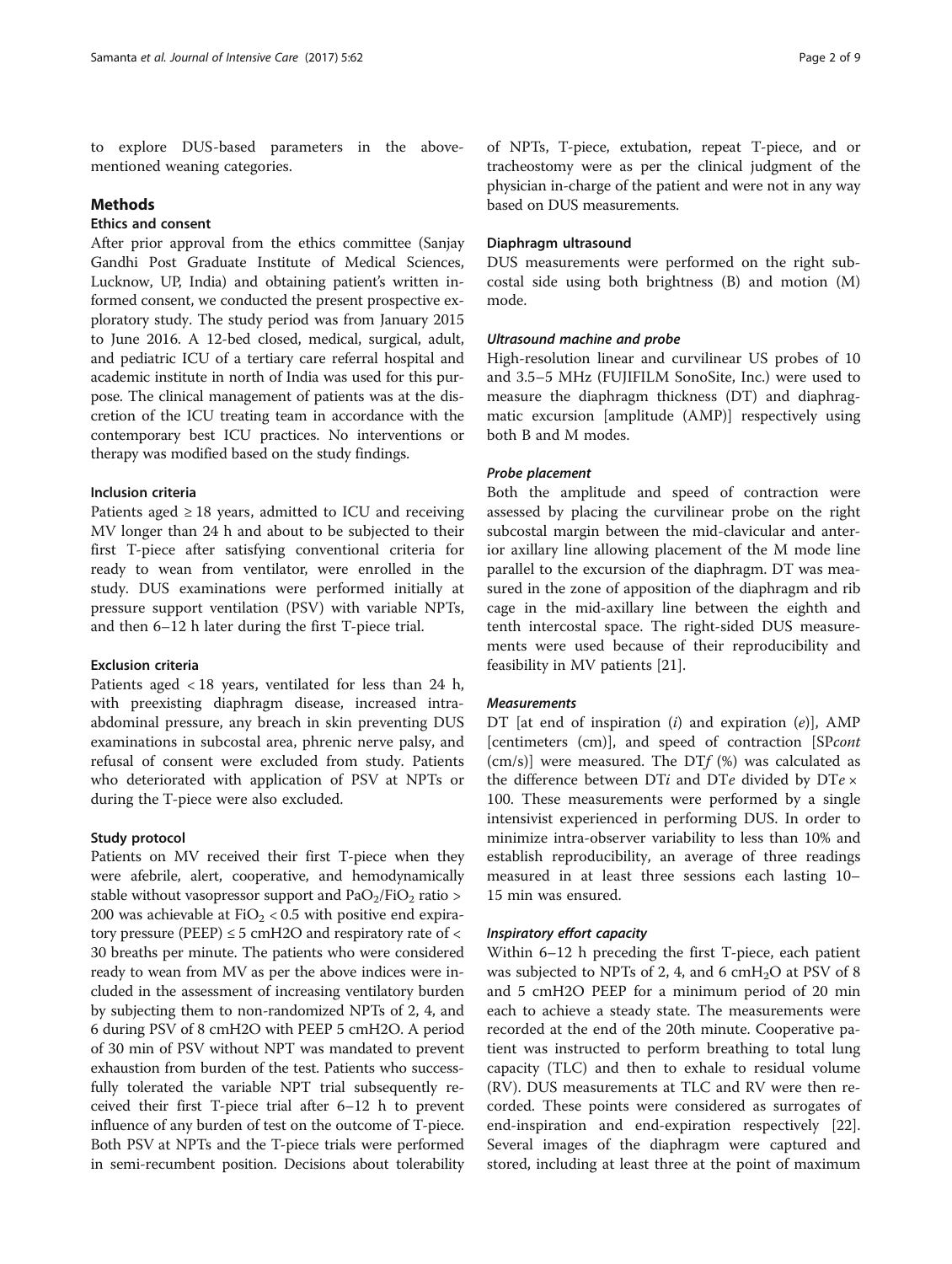to explore DUS-based parameters in the abovementioned weaning categories.

#### **Methods**

# Ethics and consent

After prior approval from the ethics committee (Sanjay Gandhi Post Graduate Institute of Medical Sciences, Lucknow, UP, India) and obtaining patient's written informed consent, we conducted the present prospective exploratory study. The study period was from January 2015 to June 2016. A 12-bed closed, medical, surgical, adult, and pediatric ICU of a tertiary care referral hospital and academic institute in north of India was used for this purpose. The clinical management of patients was at the discretion of the ICU treating team in accordance with the contemporary best ICU practices. No interventions or therapy was modified based on the study findings.

#### Inclusion criteria

Patients aged  $\geq 18$  years, admitted to ICU and receiving MV longer than 24 h and about to be subjected to their first T-piece after satisfying conventional criteria for ready to wean from ventilator, were enrolled in the study. DUS examinations were performed initially at pressure support ventilation (PSV) with variable NPTs, and then 6–12 h later during the first T-piece trial.

#### Exclusion criteria

Patients aged < 18 years, ventilated for less than 24 h, with preexisting diaphragm disease, increased intraabdominal pressure, any breach in skin preventing DUS examinations in subcostal area, phrenic nerve palsy, and refusal of consent were excluded from study. Patients who deteriorated with application of PSV at NPTs or during the T-piece were also excluded.

#### Study protocol

Patients on MV received their first T-piece when they were afebrile, alert, cooperative, and hemodynamically stable without vasopressor support and  $PaO<sub>2</sub>/FiO<sub>2</sub>$  ratio > 200 was achievable at  $FiO<sub>2</sub> < 0.5$  with positive end expiratory pressure (PEEP)  $\leq$  5 cmH2O and respiratory rate of  $\lt$ 30 breaths per minute. The patients who were considered ready to wean from MV as per the above indices were included in the assessment of increasing ventilatory burden by subjecting them to non-randomized NPTs of 2, 4, and 6 during PSV of 8 cmH2O with PEEP 5 cmH2O. A period of 30 min of PSV without NPT was mandated to prevent exhaustion from burden of the test. Patients who successfully tolerated the variable NPT trial subsequently received their first T-piece trial after 6–12 h to prevent influence of any burden of test on the outcome of T-piece. Both PSV at NPTs and the T-piece trials were performed in semi-recumbent position. Decisions about tolerability

of NPTs, T-piece, extubation, repeat T-piece, and or tracheostomy were as per the clinical judgment of the physician in-charge of the patient and were not in any way based on DUS measurements.

# Diaphragm ultrasound

DUS measurements were performed on the right subcostal side using both brightness (B) and motion (M) mode.

# Ultrasound machine and probe

High-resolution linear and curvilinear US probes of 10 and 3.5–5 MHz (FUJIFILM SonoSite, Inc.) were used to measure the diaphragm thickness (DT) and diaphragmatic excursion [amplitude (AMP)] respectively using both B and M modes.

#### Probe placement

Both the amplitude and speed of contraction were assessed by placing the curvilinear probe on the right subcostal margin between the mid-clavicular and anterior axillary line allowing placement of the M mode line parallel to the excursion of the diaphragm. DT was measured in the zone of apposition of the diaphragm and rib cage in the mid-axillary line between the eighth and tenth intercostal space. The right-sided DUS measurements were used because of their reproducibility and feasibility in MV patients [\[21\]](#page-8-0).

### **Measurements**

DT [at end of inspiration  $(i)$  and expiration  $(e)$ ], AMP [centimeters (cm)], and speed of contraction [SPcont (cm/s)] were measured. The DT $f$  (%) was calculated as the difference between DTi and DTe divided by  $DTe \times$ 100. These measurements were performed by a single intensivist experienced in performing DUS. In order to minimize intra-observer variability to less than 10% and establish reproducibility, an average of three readings measured in at least three sessions each lasting 10– 15 min was ensured.

#### Inspiratory effort capacity

Within 6–12 h preceding the first T-piece, each patient was subjected to NPTs of 2, 4, and 6 cmH<sub>2</sub>O at PSV of 8 and 5 cmH2O PEEP for a minimum period of 20 min each to achieve a steady state. The measurements were recorded at the end of the 20th minute. Cooperative patient was instructed to perform breathing to total lung capacity (TLC) and then to exhale to residual volume (RV). DUS measurements at TLC and RV were then recorded. These points were considered as surrogates of end-inspiration and end-expiration respectively [\[22](#page-8-0)]. Several images of the diaphragm were captured and stored, including at least three at the point of maximum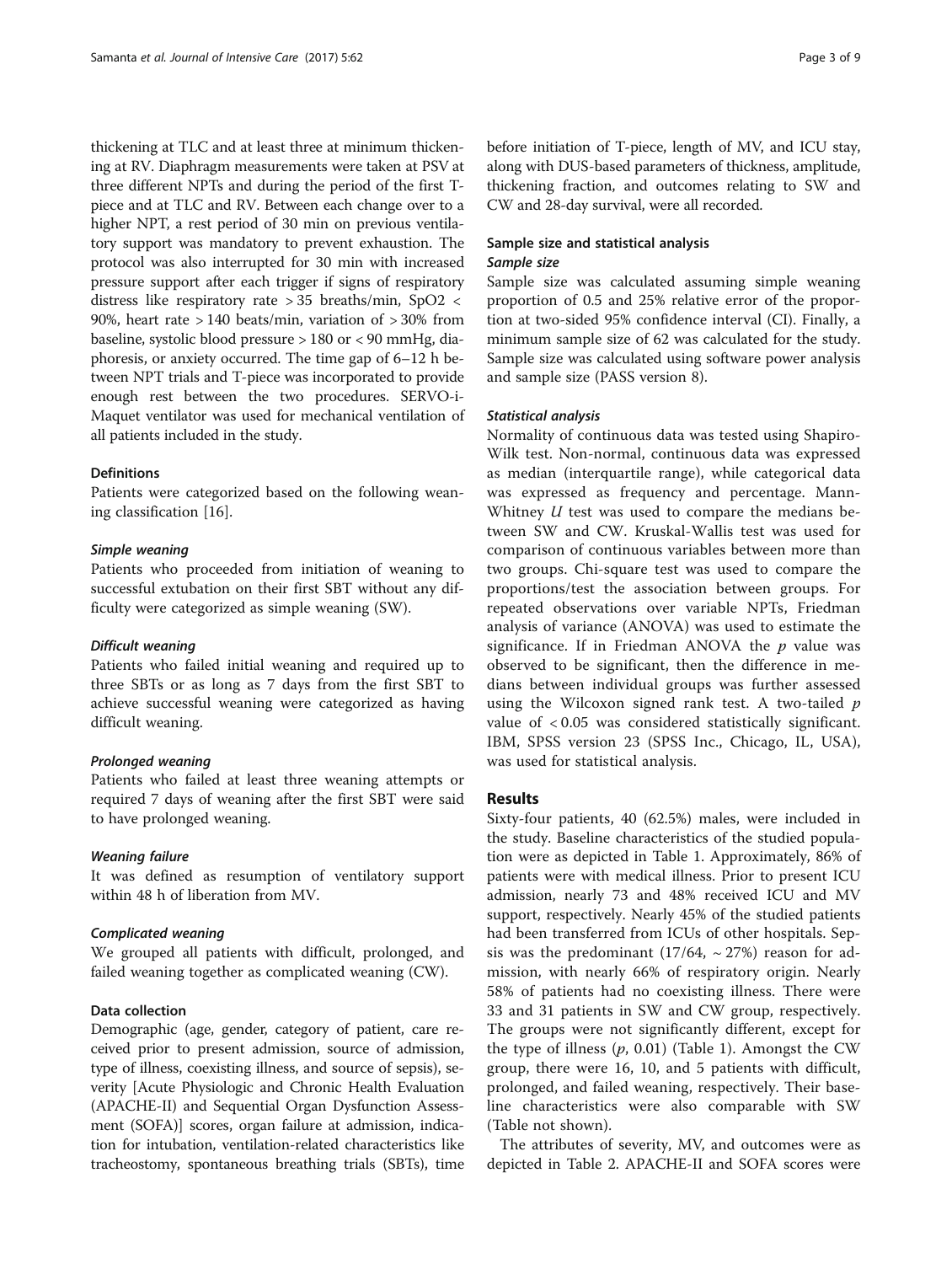thickening at TLC and at least three at minimum thickening at RV. Diaphragm measurements were taken at PSV at three different NPTs and during the period of the first Tpiece and at TLC and RV. Between each change over to a higher NPT, a rest period of 30 min on previous ventilatory support was mandatory to prevent exhaustion. The protocol was also interrupted for 30 min with increased pressure support after each trigger if signs of respiratory distress like respiratory rate > 35 breaths/min, SpO2 < 90%, heart rate > 140 beats/min, variation of > 30% from baseline, systolic blood pressure > 180 or < 90 mmHg, diaphoresis, or anxiety occurred. The time gap of 6–12 h between NPT trials and T-piece was incorporated to provide enough rest between the two procedures. SERVO-i-Maquet ventilator was used for mechanical ventilation of all patients included in the study.

# Definitions

Patients were categorized based on the following weaning classification [\[16](#page-8-0)].

#### Simple weaning

Patients who proceeded from initiation of weaning to successful extubation on their first SBT without any difficulty were categorized as simple weaning (SW).

#### Difficult weaning

Patients who failed initial weaning and required up to three SBTs or as long as 7 days from the first SBT to achieve successful weaning were categorized as having difficult weaning.

### Prolonged weaning

Patients who failed at least three weaning attempts or required 7 days of weaning after the first SBT were said to have prolonged weaning.

#### Weaning failure

It was defined as resumption of ventilatory support within 48 h of liberation from MV.

#### Complicated weaning

We grouped all patients with difficult, prolonged, and failed weaning together as complicated weaning (CW).

# Data collection

Demographic (age, gender, category of patient, care received prior to present admission, source of admission, type of illness, coexisting illness, and source of sepsis), severity [Acute Physiologic and Chronic Health Evaluation (APACHE-II) and Sequential Organ Dysfunction Assessment (SOFA)] scores, organ failure at admission, indication for intubation, ventilation-related characteristics like tracheostomy, spontaneous breathing trials (SBTs), time before initiation of T-piece, length of MV, and ICU stay, along with DUS-based parameters of thickness, amplitude, thickening fraction, and outcomes relating to SW and CW and 28-day survival, were all recorded.

### Sample size and statistical analysis Sample size

Sample size was calculated assuming simple weaning proportion of 0.5 and 25% relative error of the proportion at two-sided 95% confidence interval (CI). Finally, a minimum sample size of 62 was calculated for the study. Sample size was calculated using software power analysis and sample size (PASS version 8).

#### Statistical analysis

Normality of continuous data was tested using Shapiro-Wilk test. Non-normal, continuous data was expressed as median (interquartile range), while categorical data was expressed as frequency and percentage. Mann-Whitney  $U$  test was used to compare the medians between SW and CW. Kruskal-Wallis test was used for comparison of continuous variables between more than two groups. Chi-square test was used to compare the proportions/test the association between groups. For repeated observations over variable NPTs, Friedman analysis of variance (ANOVA) was used to estimate the significance. If in Friedman ANOVA the  $p$  value was observed to be significant, then the difference in medians between individual groups was further assessed using the Wilcoxon signed rank test. A two-tailed  $p$ value of < 0.05 was considered statistically significant. IBM, SPSS version 23 (SPSS Inc., Chicago, IL, USA), was used for statistical analysis.

#### Results

Sixty-four patients, 40 (62.5%) males, were included in the study. Baseline characteristics of the studied population were as depicted in Table [1.](#page-3-0) Approximately, 86% of patients were with medical illness. Prior to present ICU admission, nearly 73 and 48% received ICU and MV support, respectively. Nearly 45% of the studied patients had been transferred from ICUs of other hospitals. Sepsis was the predominant  $(17/64, \sim 27%)$  reason for admission, with nearly 66% of respiratory origin. Nearly 58% of patients had no coexisting illness. There were 33 and 31 patients in SW and CW group, respectively. The groups were not significantly different, except for the type of illness  $(p, 0.01)$  (Table [1](#page-3-0)). Amongst the CW group, there were 16, 10, and 5 patients with difficult, prolonged, and failed weaning, respectively. Their baseline characteristics were also comparable with SW (Table not shown).

The attributes of severity, MV, and outcomes were as depicted in Table [2](#page-4-0). APACHE-II and SOFA scores were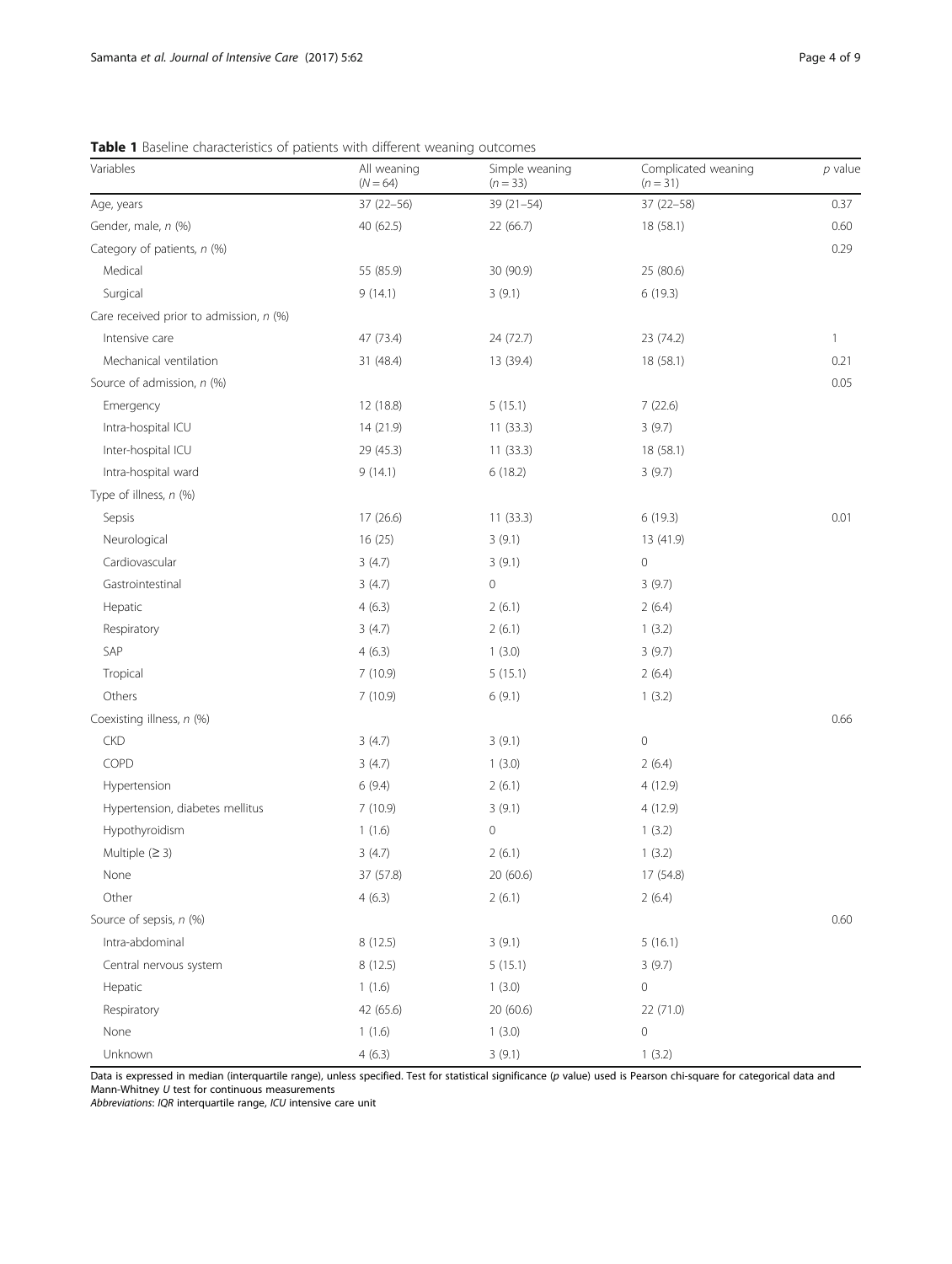<span id="page-3-0"></span>Table 1 Baseline characteristics of patients with different weaning outcomes

| Variables                               | All weaning<br>$(N = 64)$ | Simple weaning<br>$(n = 33)$ | Complicated weaning<br>$(n = 31)$ | $p$ value    |
|-----------------------------------------|---------------------------|------------------------------|-----------------------------------|--------------|
| Age, years                              | 37 (22-56)                | $39(21 - 54)$                | 37 (22-58)                        | 0.37         |
| Gender, male, n (%)                     | 40 (62.5)                 | 22 (66.7)                    | 18 (58.1)                         | 0.60         |
| Category of patients, n (%)             |                           |                              |                                   | 0.29         |
| Medical                                 | 55 (85.9)                 | 30 (90.9)                    | 25 (80.6)                         |              |
| Surgical                                | 9(14.1)                   | 3(9.1)                       | 6(19.3)                           |              |
| Care received prior to admission, n (%) |                           |                              |                                   |              |
| Intensive care                          | 47 (73.4)                 | 24 (72.7)                    | 23 (74.2)                         | $\mathbf{1}$ |
| Mechanical ventilation                  | 31 (48.4)                 | 13 (39.4)                    | 18 (58.1)                         | 0.21         |
| Source of admission, n (%)              |                           |                              |                                   | 0.05         |
| Emergency                               | 12 (18.8)                 | 5(15.1)                      | 7(22.6)                           |              |
| Intra-hospital ICU                      | 14 (21.9)                 | 11(33.3)                     | 3(9.7)                            |              |
| Inter-hospital ICU                      | 29 (45.3)                 | 11(33.3)                     | 18 (58.1)                         |              |
| Intra-hospital ward                     | 9(14.1)                   | 6(18.2)                      | 3(9.7)                            |              |
| Type of illness, n (%)                  |                           |                              |                                   |              |
| Sepsis                                  | 17 (26.6)                 | 11(33.3)                     | 6(19.3)                           | 0.01         |
| Neurological                            | 16(25)                    | 3(9.1)                       | 13 (41.9)                         |              |
| Cardiovascular                          | 3(4.7)                    | 3(9.1)                       | $\mathbf 0$                       |              |
| Gastrointestinal                        | 3(4.7)                    | 0                            | 3(9.7)                            |              |
| Hepatic                                 | 4(6.3)                    | 2(6.1)                       | 2(6.4)                            |              |
| Respiratory                             | 3(4.7)                    | 2(6.1)                       | 1(3.2)                            |              |
| SAP                                     | 4(6.3)                    | 1(3.0)                       | 3(9.7)                            |              |
| Tropical                                | 7(10.9)                   | 5(15.1)                      | 2(6.4)                            |              |
| Others                                  | 7(10.9)                   | 6(9.1)                       | 1(3.2)                            |              |
| Coexisting illness, n (%)               |                           |                              |                                   | 0.66         |
| <b>CKD</b>                              | 3(4.7)                    | 3(9.1)                       | $\mathbf 0$                       |              |
| COPD                                    | 3(4.7)                    | 1(3.0)                       | 2(6.4)                            |              |
| Hypertension                            | 6(9.4)                    | 2(6.1)                       | 4(12.9)                           |              |
| Hypertension, diabetes mellitus         | 7(10.9)                   | 3(9.1)                       | 4(12.9)                           |              |
| Hypothyroidism                          | 1(1.6)                    | 0                            | 1(3.2)                            |              |
| Multiple $(≥ 3)$                        | 3(4.7)                    | 2(6.1)                       | 1(3.2)                            |              |
| None                                    | 37 (57.8)                 | 20 (60.6)                    | 17 (54.8)                         |              |
| Other                                   | 4(6.3)                    | 2(6.1)                       | 2(6.4)                            |              |
| Source of sepsis, n (%)                 |                           |                              |                                   | 0.60         |
| Intra-abdominal                         | 8 (12.5)                  | 3(9.1)                       | 5(16.1)                           |              |
| Central nervous system                  | 8 (12.5)                  | 5(15.1)                      | 3(9.7)                            |              |
| Hepatic                                 | 1(1.6)                    | 1(3.0)                       | $\mathsf{O}\xspace$               |              |
| Respiratory                             | 42 (65.6)                 | 20 (60.6)                    | 22 (71.0)                         |              |
| None                                    | 1(1.6)                    | 1(3.0)                       | $\mathbf 0$                       |              |
| Unknown                                 | 4(6.3)                    | 3(9.1)                       | 1(3.2)                            |              |

Data is expressed in median (interquartile range), unless specified. Test for statistical significance (p value) used is Pearson chi-square for categorical data and Mann-Whitney  $U$  test for continuous measurements

Abbreviations: IQR interquartile range, ICU intensive care unit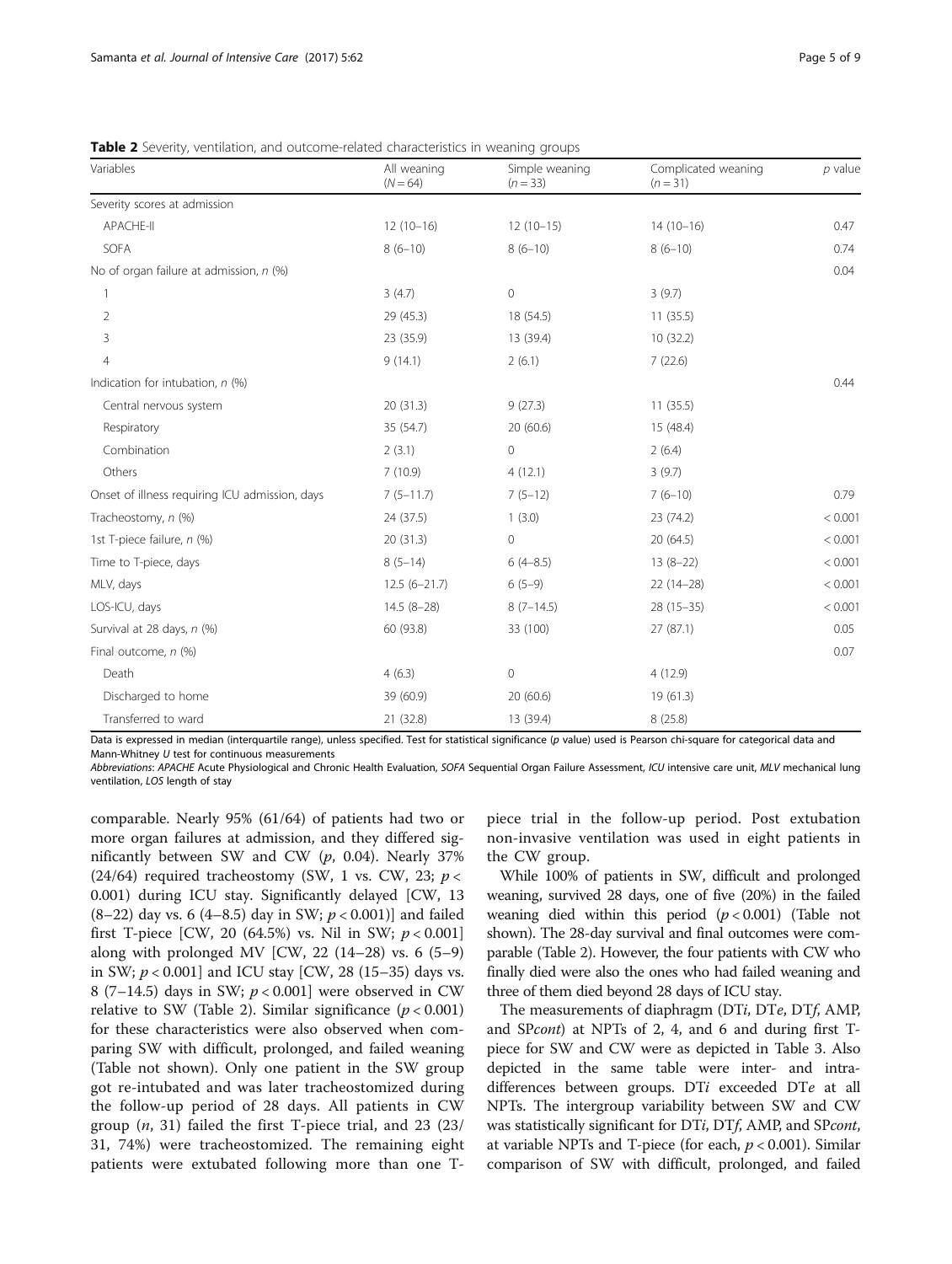| Variables                                      | All weaning<br>$(N = 64)$ | Simple weaning<br>$(n = 33)$ | Complicated weaning<br>$(n = 31)$ | $p$ value |
|------------------------------------------------|---------------------------|------------------------------|-----------------------------------|-----------|
| Severity scores at admission                   |                           |                              |                                   |           |
| <b>APACHE-II</b>                               | $12(10-16)$               | $12(10-15)$                  | $14(10-16)$                       | 0.47      |
| SOFA                                           | $8(6-10)$                 | $8(6-10)$                    | $8(6-10)$                         | 0.74      |
| No of organ failure at admission, n (%)        |                           |                              |                                   | 0.04      |
|                                                | 3(4.7)                    | $\overline{0}$               | 3(9.7)                            |           |
| 2                                              | 29 (45.3)                 | 18 (54.5)                    | 11(35.5)                          |           |
| 3                                              | 23 (35.9)                 | 13 (39.4)                    | 10(32.2)                          |           |
| $\overline{4}$                                 | 9(14.1)                   | 2(6.1)                       | 7(22.6)                           |           |
| Indication for intubation, n (%)               |                           |                              |                                   | 0.44      |
| Central nervous system                         | 20(31.3)                  | 9(27.3)                      | 11(35.5)                          |           |
| Respiratory                                    | 35 (54.7)                 | 20(60.6)                     | 15 (48.4)                         |           |
| Combination                                    | 2(3.1)                    | 0                            | 2(6.4)                            |           |
| Others                                         | 7(10.9)                   | 4(12.1)                      | 3(9.7)                            |           |
| Onset of illness requiring ICU admission, days | $7(5-11.7)$               | $7(5-12)$                    | $7(6-10)$                         | 0.79      |
| Tracheostomy, n (%)                            | 24 (37.5)                 | 1(3.0)                       | 23 (74.2)                         | < 0.001   |
| 1st T-piece failure, n (%)                     | 20 (31.3)                 | 0                            | 20 (64.5)                         | < 0.001   |
| Time to T-piece, days                          | $8(5-14)$                 | $6(4-8.5)$                   | $13(8-22)$                        | < 0.001   |
| MLV, days                                      | $12.5(6-21.7)$            | $6(5-9)$                     | 22 (14-28)                        | < 0.001   |
| LOS-ICU, days                                  | $14.5(8-28)$              | $8(7-14.5)$                  | $28(15-35)$                       | < 0.001   |
| Survival at 28 days, n (%)                     | 60 (93.8)                 | 33 (100)                     | 27(87.1)                          | 0.05      |
| Final outcome, n (%)                           |                           |                              |                                   | 0.07      |
| Death                                          | 4(6.3)                    | 0                            | 4(12.9)                           |           |
| Discharged to home                             | 39 (60.9)                 | 20(60.6)                     | 19 (61.3)                         |           |
| Transferred to ward                            | 21 (32.8)                 | 13 (39.4)                    | 8(25.8)                           |           |

<span id="page-4-0"></span>Table 2 Severity, ventilation, and outcome-related characteristics in weaning groups

Data is expressed in median (interquartile range), unless specified. Test for statistical significance (p value) used is Pearson chi-square for categorical data and Mann-Whitney U test for continuous measurements

Abbreviations: APACHE Acute Physiological and Chronic Health Evaluation, SOFA Sequential Organ Failure Assessment, ICU intensive care unit, MLV mechanical lung ventilation, LOS length of stay

comparable. Nearly 95% (61/64) of patients had two or more organ failures at admission, and they differed significantly between SW and CW  $(p, 0.04)$ . Nearly 37% (24/64) required tracheostomy (SW, 1 vs. CW, 23;  $p <$ 0.001) during ICU stay. Significantly delayed [CW, 13  $(8-22)$  day vs. 6  $(4-8.5)$  day in SW;  $p < 0.001$ )] and failed first T-piece [CW, 20 (64.5%) vs. Nil in SW;  $p < 0.001$ ] along with prolonged MV  $\left[ \text{CW}, 22 \right] (14-28)$  vs. 6 (5-9) in SW;  $p < 0.001$ ] and ICU stay [CW, 28 (15–35) days vs. 8 (7-14.5) days in SW;  $p < 0.001$ ] were observed in CW relative to SW (Table 2). Similar significance  $(p < 0.001)$ for these characteristics were also observed when comparing SW with difficult, prolonged, and failed weaning (Table not shown). Only one patient in the SW group got re-intubated and was later tracheostomized during the follow-up period of 28 days. All patients in CW group  $(n, 31)$  failed the first T-piece trial, and 23 (23/ 31, 74%) were tracheostomized. The remaining eight patients were extubated following more than one T- piece trial in the follow-up period. Post extubation non-invasive ventilation was used in eight patients in the CW group.

While 100% of patients in SW, difficult and prolonged weaning, survived 28 days, one of five (20%) in the failed weaning died within this period  $(p < 0.001)$  (Table not shown). The 28-day survival and final outcomes were comparable (Table 2). However, the four patients with CW who finally died were also the ones who had failed weaning and three of them died beyond 28 days of ICU stay.

The measurements of diaphragm (DTi, DTe, DTf, AMP, and SPcont) at NPTs of 2, 4, and 6 and during first Tpiece for SW and CW were as depicted in Table [3.](#page-5-0) Also depicted in the same table were inter- and intradifferences between groups. DTi exceeded DTe at all NPTs. The intergroup variability between SW and CW was statistically significant for DTi, DTf, AMP, and SPcont, at variable NPTs and T-piece (for each,  $p < 0.001$ ). Similar comparison of SW with difficult, prolonged, and failed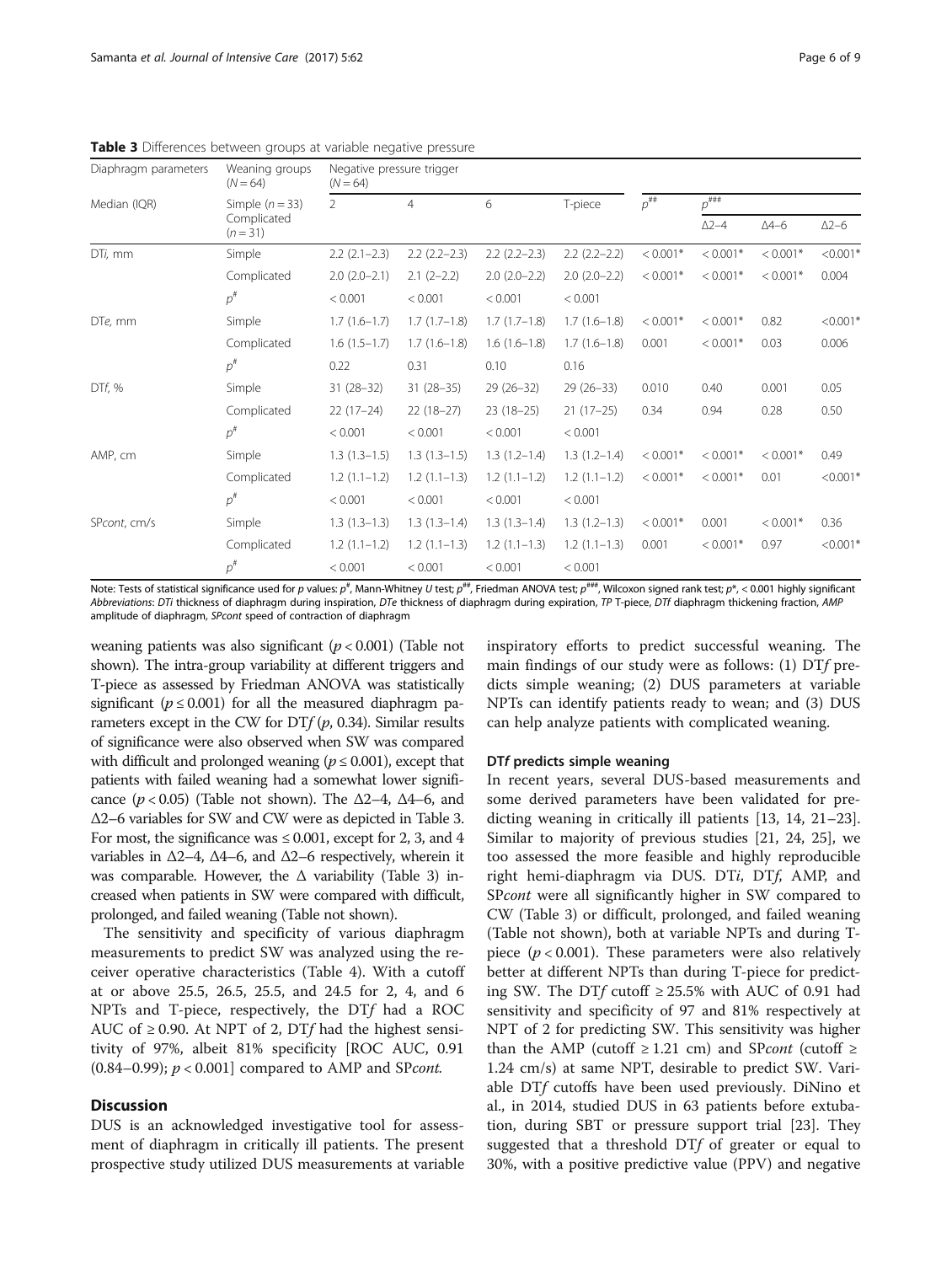| Diaphragm parameters | Weaning groups<br>$(N = 64)$                 | Negative pressure trigger<br>$(N = 64)$ |                   |                   |                   |              |                |                    |            |
|----------------------|----------------------------------------------|-----------------------------------------|-------------------|-------------------|-------------------|--------------|----------------|--------------------|------------|
| Median (IQR)         | Simple $(n = 33)$<br>Complicated<br>$(n=31)$ | $\mathfrak{D}$<br>$\overline{4}$        |                   | 6                 | T-piece           | $p^{\#}$     | $p^{\# \# \#}$ |                    |            |
|                      |                                              |                                         |                   |                   |                   | $\Delta$ 2-4 | $\Delta$ 4-6   | $\Delta$ 2-6       |            |
| DTi, mm              | Simple                                       | $2.2$ $(2.1-2.3)$                       | $2.2$ $(2.2-2.3)$ | $2.2$ $(2.2-2.3)$ | $2.2$ $(2.2-2.2)$ | $< 0.001*$   | $< 0.001*$     | $< 0.001*$         | $< 0.001*$ |
|                      | Complicated                                  | $2.0(2.0-2.1)$                          | $2.1(2-2.2)$      | $2.0(2.0-2.2)$    | $2.0(2.0-2.2)$    | $< 0.001*$   | $< 0.001*$     | $< 0.001*$         | 0.004      |
|                      | $p^{\#}$                                     | < 0.001                                 | < 0.001           | < 0.001           | < 0.001           |              |                |                    |            |
| DTe, mm              | Simple                                       | $1.7(1.6-1.7)$                          | $1.7(1.7-1.8)$    | $1.7(1.7-1.8)$    | $1.7(1.6-1.8)$    | $< 0.001*$   | $< 0.001*$     | 0.82               | $< 0.001*$ |
|                      | Complicated                                  | $1.6(1.5-1.7)$                          | $1.7(1.6-1.8)$    | $1.6(1.6-1.8)$    | $1.7(1.6-1.8)$    | 0.001        | $< 0.001*$     | 0.03               | 0.006      |
|                      | $p^{\#}$                                     | 0.22                                    | 0.31              | 0.10              | 0.16              |              |                |                    |            |
| DTf, %               | Simple                                       | $31(28-32)$                             | $31(28-35)$       | $29(26-32)$       | $29(26-33)$       | 0.010        | 0.40           | 0.001              | 0.05       |
|                      | Complicated                                  | $22(17-24)$                             | $22(18-27)$       | $23(18-25)$       | $21(17-25)$       | 0.34         | 0.94           | 0.28               | 0.50       |
|                      | $p^{\#}$                                     | < 0.001                                 | < 0.001           | < 0.001           | < 0.001           |              |                |                    |            |
| AMP, cm              | Simple                                       | $1.3(1.3-1.5)$                          | $1.3(1.3-1.5)$    | $1.3(1.2-1.4)$    | $1.3(1.2-1.4)$    | $< 0.001*$   | $< 0.001*$     | $< 0.001*$<br>0.49 |            |
|                      | Complicated                                  | $1.2(1.1-1.2)$                          | $1.2(1.1-1.3)$    | $1.2(1.1-1.2)$    | $1.2(1.1-1.2)$    | $< 0.001*$   | $< 0.001*$     | 0.01               | $< 0.001*$ |
|                      | $p^{\#}$                                     | < 0.001                                 | < 0.001           | < 0.001           | < 0.001           |              |                |                    |            |
| SPcont, cm/s         | Simple                                       | $1.3(1.3-1.3)$                          | $1.3(1.3-1.4)$    | $1.3(1.3-1.4)$    | $1.3(1.2-1.3)$    | $< 0.001*$   | 0.001          | $< 0.001*$         | 0.36       |
|                      | Complicated                                  | $1.2(1.1-1.2)$                          | $1.2(1.1-1.3)$    | $1.2(1.1-1.3)$    | $1.2(1.1-1.3)$    | 0.001        | $< 0.001*$     | 0.97               | $< 0.001*$ |
|                      | $p^{\#}$                                     | < 0.001                                 | < 0.001           | < 0.001           | < 0.001           |              |                |                    |            |

<span id="page-5-0"></span>Table 3 Differences between groups at variable negative pressure

Note: Tests of statistical significance used for  $p$  values:  $p^\sharp$ , Mann-Whitney  $U$  test;  $p^{\sharp\sharp}$ , Friedman ANOVA test;  $p^{\sharp\sharp\sharp}$ , Wilcoxon signed rank test;  $p^\sharp$ , < 0.001 highly significant Abbreviations: DTi thickness of diaphragm during inspiration, DTe thickness of diaphragm during expiration, TP T-piece, DTf diaphragm thickening fraction, AMP amplitude of diaphragm, SPcont speed of contraction of diaphragm

weaning patients was also significant ( $p < 0.001$ ) (Table not shown). The intra-group variability at different triggers and T-piece as assessed by Friedman ANOVA was statistically significant ( $p \le 0.001$ ) for all the measured diaphragm parameters except in the CW for  $DTf(p, 0.34)$ . Similar results of significance were also observed when SW was compared with difficult and prolonged weaning ( $p \le 0.001$ ), except that patients with failed weaning had a somewhat lower significance ( $p < 0.05$ ) (Table not shown). The  $\Delta 2-4$ ,  $\Delta 4-6$ , and Δ2–6 variables for SW and CW were as depicted in Table 3. For most, the significance was  $\leq 0.001$ , except for 2, 3, and 4 variables in  $\Delta 2-4$ ,  $\Delta 4-6$ , and  $\Delta 2-6$  respectively, wherein it was comparable. However, the  $\Delta$  variability (Table 3) increased when patients in SW were compared with difficult, prolonged, and failed weaning (Table not shown).

The sensitivity and specificity of various diaphragm measurements to predict SW was analyzed using the receiver operative characteristics (Table [4](#page-6-0)). With a cutoff at or above 25.5, 26.5, 25.5, and 24.5 for 2, 4, and 6 NPTs and T-piece, respectively, the DTf had a ROC AUC of  $\geq$  0.90. At NPT of 2, DTf had the highest sensitivity of 97%, albeit 81% specificity [ROC AUC, 0.91  $(0.84-0.99)$ ;  $p < 0.001$  compared to AMP and SPcont.

## **Discussion**

DUS is an acknowledged investigative tool for assessment of diaphragm in critically ill patients. The present prospective study utilized DUS measurements at variable inspiratory efforts to predict successful weaning. The main findings of our study were as follows: (1) DTf predicts simple weaning; (2) DUS parameters at variable NPTs can identify patients ready to wean; and (3) DUS can help analyze patients with complicated weaning.

#### DTf predicts simple weaning

In recent years, several DUS-based measurements and some derived parameters have been validated for predicting weaning in critically ill patients [[13, 14,](#page-7-0) [21](#page-8-0)–[23](#page-8-0)]. Similar to majority of previous studies [\[21](#page-8-0), [24, 25\]](#page-8-0), we too assessed the more feasible and highly reproducible right hemi-diaphragm via DUS. DTi, DTf, AMP, and SPcont were all significantly higher in SW compared to CW (Table 3) or difficult, prolonged, and failed weaning (Table not shown), both at variable NPTs and during Tpiece  $(p < 0.001)$ . These parameters were also relatively better at different NPTs than during T-piece for predicting SW. The DTf cutoff  $\geq$  25.5% with AUC of 0.91 had sensitivity and specificity of 97 and 81% respectively at NPT of 2 for predicting SW. This sensitivity was higher than the AMP (cutoff  $\geq$  1.21 cm) and SP*cont* (cutoff  $\geq$ 1.24 cm/s) at same NPT, desirable to predict SW. Variable DTf cutoffs have been used previously. DiNino et al., in 2014, studied DUS in 63 patients before extubation, during SBT or pressure support trial [[23\]](#page-8-0). They suggested that a threshold DTf of greater or equal to 30%, with a positive predictive value (PPV) and negative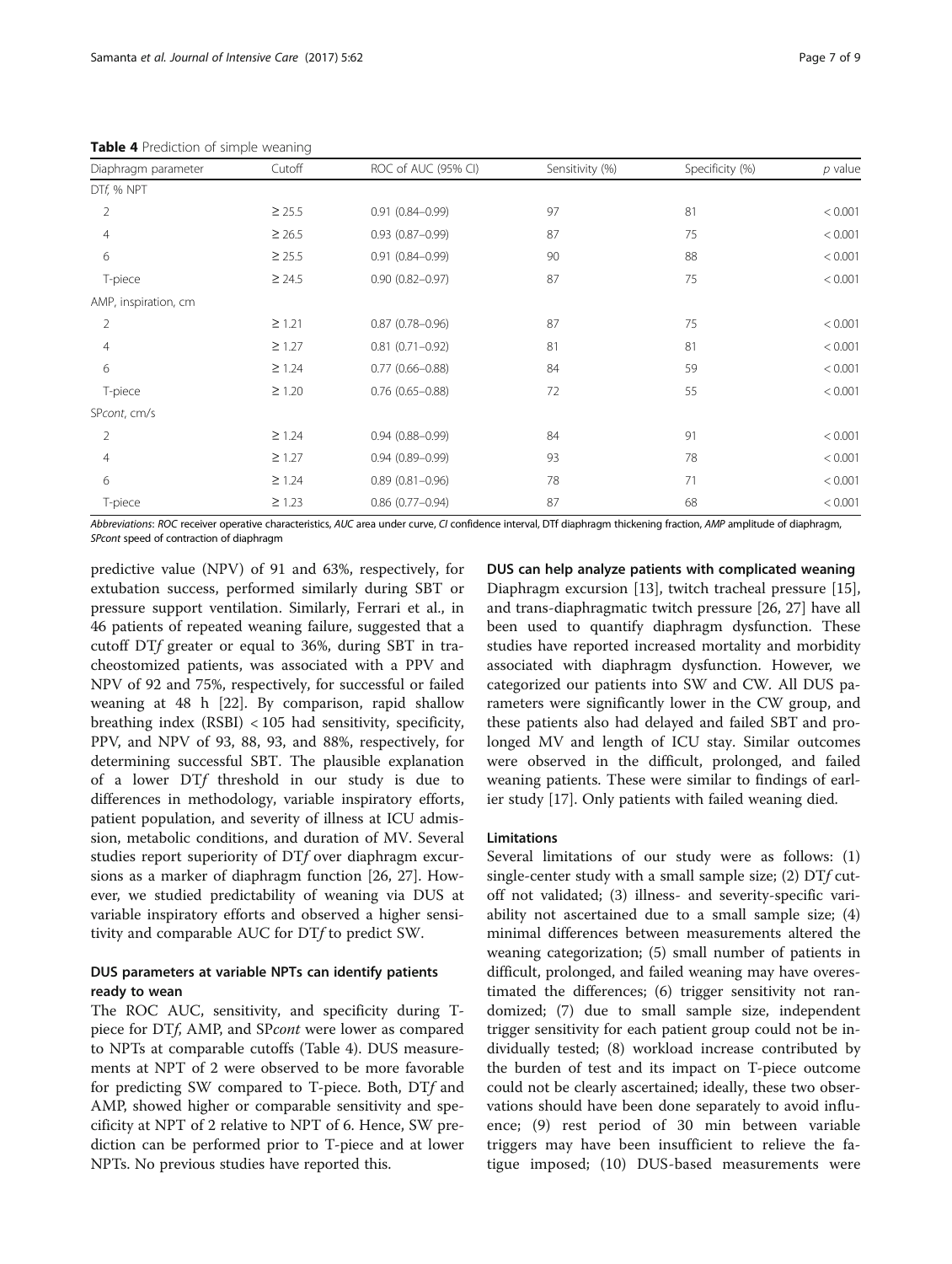| Diaphragm parameter  | Cutoff      | ROC of AUC (95% CI)    | Sensitivity (%) | Specificity (%) | $p$ value |
|----------------------|-------------|------------------------|-----------------|-----------------|-----------|
| DTf, % NPT           |             |                        |                 |                 |           |
| 2                    | $\geq 25.5$ | $0.91(0.84 - 0.99)$    | 97              | 81              | < 0.001   |
| 4                    | $\geq 26.5$ | $0.93$ $(0.87 - 0.99)$ | 87              | 75              | < 0.001   |
| 6                    | $\geq$ 25.5 | $0.91(0.84 - 0.99)$    | 90              | 88              | < 0.001   |
| T-piece              | $\geq$ 24.5 | $0.90(0.82 - 0.97)$    | 87              | 75              | < 0.001   |
| AMP, inspiration, cm |             |                        |                 |                 |           |
| 2                    | $\geq 1.21$ | $0.87(0.78 - 0.96)$    | 87              | 75              | < 0.001   |
| $\overline{4}$       | $\geq 1.27$ | $0.81(0.71 - 0.92)$    | 81              | 81              | < 0.001   |
| 6                    | $\geq 1.24$ | $0.77(0.66 - 0.88)$    | 84              | 59              | < 0.001   |
| T-piece              | $\geq 1.20$ | $0.76$ $(0.65 - 0.88)$ | 72              | 55              | < 0.001   |
| SPcont, cm/s         |             |                        |                 |                 |           |
| $\overline{2}$       | $\geq 1.24$ | $0.94(0.88 - 0.99)$    | 84<br>91        |                 | < 0.001   |
| $\overline{4}$       | $\geq 1.27$ | $0.94(0.89 - 0.99)$    | 93              | 78              | < 0.001   |
| 6                    | $\geq 1.24$ | $0.89(0.81 - 0.96)$    | 78              | 71              | < 0.001   |
| T-piece              | $\geq 1.23$ | $0.86$ $(0.77 - 0.94)$ | 87              | 68              | < 0.001   |

<span id="page-6-0"></span>Table 4 Prediction of simple weaning

Abbreviations: ROC receiver operative characteristics, AUC area under curve, CI confidence interval, DTf diaphragm thickening fraction, AMP amplitude of diaphragm, SPcont speed of contraction of diaphragm

predictive value (NPV) of 91 and 63%, respectively, for extubation success, performed similarly during SBT or pressure support ventilation. Similarly, Ferrari et al., in 46 patients of repeated weaning failure, suggested that a cutoff DTf greater or equal to 36%, during SBT in tracheostomized patients, was associated with a PPV and NPV of 92 and 75%, respectively, for successful or failed weaning at 48 h [[22\]](#page-8-0). By comparison, rapid shallow breathing index (RSBI) < 105 had sensitivity, specificity, PPV, and NPV of 93, 88, 93, and 88%, respectively, for determining successful SBT. The plausible explanation of a lower DTf threshold in our study is due to differences in methodology, variable inspiratory efforts, patient population, and severity of illness at ICU admission, metabolic conditions, and duration of MV. Several studies report superiority of DTf over diaphragm excursions as a marker of diaphragm function [\[26](#page-8-0), [27\]](#page-8-0). However, we studied predictability of weaning via DUS at variable inspiratory efforts and observed a higher sensitivity and comparable AUC for DTf to predict SW.

# DUS parameters at variable NPTs can identify patients ready to wean

The ROC AUC, sensitivity, and specificity during Tpiece for DTf, AMP, and SPcont were lower as compared to NPTs at comparable cutoffs (Table 4). DUS measurements at NPT of 2 were observed to be more favorable for predicting SW compared to T-piece. Both, DTf and AMP, showed higher or comparable sensitivity and specificity at NPT of 2 relative to NPT of 6. Hence, SW prediction can be performed prior to T-piece and at lower NPTs. No previous studies have reported this.

DUS can help analyze patients with complicated weaning Diaphragm excursion [[13](#page-7-0)], twitch tracheal pressure [\[15](#page-7-0)], and trans-diaphragmatic twitch pressure [[26, 27\]](#page-8-0) have all been used to quantify diaphragm dysfunction. These studies have reported increased mortality and morbidity associated with diaphragm dysfunction. However, we categorized our patients into SW and CW. All DUS parameters were significantly lower in the CW group, and these patients also had delayed and failed SBT and prolonged MV and length of ICU stay. Similar outcomes were observed in the difficult, prolonged, and failed weaning patients. These were similar to findings of earlier study [\[17](#page-8-0)]. Only patients with failed weaning died.

### Limitations

Several limitations of our study were as follows: (1) single-center study with a small sample size; (2) DTf cutoff not validated; (3) illness- and severity-specific variability not ascertained due to a small sample size; (4) minimal differences between measurements altered the weaning categorization; (5) small number of patients in difficult, prolonged, and failed weaning may have overestimated the differences; (6) trigger sensitivity not randomized; (7) due to small sample size, independent trigger sensitivity for each patient group could not be individually tested; (8) workload increase contributed by the burden of test and its impact on T-piece outcome could not be clearly ascertained; ideally, these two observations should have been done separately to avoid influence; (9) rest period of 30 min between variable triggers may have been insufficient to relieve the fatigue imposed; (10) DUS-based measurements were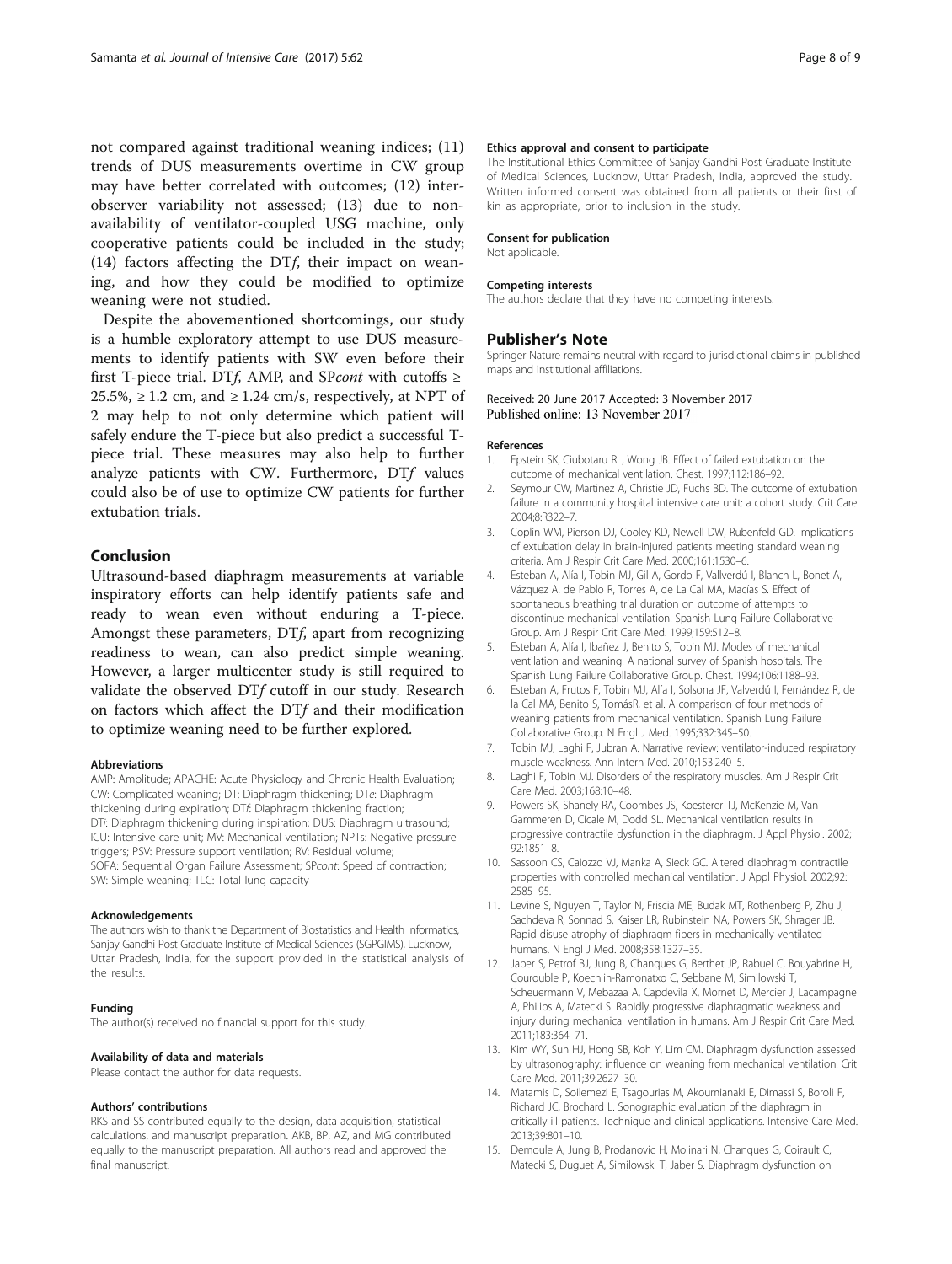<span id="page-7-0"></span>not compared against traditional weaning indices; (11) trends of DUS measurements overtime in CW group may have better correlated with outcomes; (12) interobserver variability not assessed; (13) due to nonavailability of ventilator-coupled USG machine, only cooperative patients could be included in the study; (14) factors affecting the DTf, their impact on weaning, and how they could be modified to optimize weaning were not studied.

Despite the abovementioned shortcomings, our study is a humble exploratory attempt to use DUS measurements to identify patients with SW even before their first T-piece trial. DTf, AMP, and SPcont with cutoffs  $\geq$ 25.5%,  $\geq$  1.2 cm, and  $\geq$  1.24 cm/s, respectively, at NPT of 2 may help to not only determine which patient will safely endure the T-piece but also predict a successful Tpiece trial. These measures may also help to further analyze patients with CW. Furthermore, DTf values could also be of use to optimize CW patients for further extubation trials.

# Conclusion

Ultrasound-based diaphragm measurements at variable inspiratory efforts can help identify patients safe and ready to wean even without enduring a T-piece. Amongst these parameters, DTf, apart from recognizing readiness to wean, can also predict simple weaning. However, a larger multicenter study is still required to validate the observed DTf cutoff in our study. Research on factors which affect the DTf and their modification to optimize weaning need to be further explored.

#### Abbreviations

AMP: Amplitude; APACHE: Acute Physiology and Chronic Health Evaluation; CW: Complicated weaning; DT: Diaphragm thickening; DTe: Diaphragm thickening during expiration; DTf: Diaphragm thickening fraction; DTi: Diaphragm thickening during inspiration; DUS: Diaphragm ultrasound; ICU: Intensive care unit; MV: Mechanical ventilation; NPTs: Negative pressure triggers; PSV: Pressure support ventilation; RV: Residual volume; SOFA: Sequential Organ Failure Assessment; SPcont: Speed of contraction; SW: Simple weaning; TLC: Total lung capacity

#### Acknowledgements

The authors wish to thank the Department of Biostatistics and Health Informatics, Sanjay Gandhi Post Graduate Institute of Medical Sciences (SGPGIMS), Lucknow, Uttar Pradesh, India, for the support provided in the statistical analysis of the results.

#### Funding

The author(s) received no financial support for this study.

#### Availability of data and materials

Please contact the author for data requests.

#### Authors' contributions

RKS and SS contributed equally to the design, data acquisition, statistical calculations, and manuscript preparation. AKB, BP, AZ, and MG contributed equally to the manuscript preparation. All authors read and approved the final manuscript.

#### Ethics approval and consent to participate

The Institutional Ethics Committee of Sanjay Gandhi Post Graduate Institute of Medical Sciences, Lucknow, Uttar Pradesh, India, approved the study. Written informed consent was obtained from all patients or their first of kin as appropriate, prior to inclusion in the study.

#### Consent for publication

Not applicable.

#### Competing interests

The authors declare that they have no competing interests.

#### Publisher's Note

Springer Nature remains neutral with regard to jurisdictional claims in published maps and institutional affiliations.

#### Received: 20 June 2017 Accepted: 3 November 2017 Published online: 13 November 2017

#### References

- 1. Epstein SK, Ciubotaru RL, Wong JB. Effect of failed extubation on the outcome of mechanical ventilation. Chest. 1997;112:186–92.
- 2. Seymour CW, Martinez A, Christie JD, Fuchs BD. The outcome of extubation failure in a community hospital intensive care unit: a cohort study. Crit Care. 2004;8:R322–7.
- 3. Coplin WM, Pierson DJ, Cooley KD, Newell DW, Rubenfeld GD. Implications of extubation delay in brain-injured patients meeting standard weaning criteria. Am J Respir Crit Care Med. 2000;161:1530–6.
- 4. Esteban A, Alía I, Tobin MJ, Gil A, Gordo F, Vallverdú I, Blanch L, Bonet A, Vázquez A, de Pablo R, Torres A, de La Cal MA, Macías S. Effect of spontaneous breathing trial duration on outcome of attempts to discontinue mechanical ventilation. Spanish Lung Failure Collaborative Group. Am J Respir Crit Care Med. 1999;159:512–8.
- 5. Esteban A, Alía I, Ibañez J, Benito S, Tobin MJ. Modes of mechanical ventilation and weaning. A national survey of Spanish hospitals. The Spanish Lung Failure Collaborative Group. Chest. 1994;106:1188–93.
- 6. Esteban A, Frutos F, Tobin MJ, Alía I, Solsona JF, Valverdú I, Fernández R, de la Cal MA, Benito S, TomásR, et al. A comparison of four methods of weaning patients from mechanical ventilation. Spanish Lung Failure Collaborative Group. N Engl J Med. 1995;332:345–50.
- 7. Tobin MJ, Laghi F, Jubran A. Narrative review: ventilator-induced respiratory muscle weakness. Ann Intern Med. 2010;153:240–5.
- 8. Laghi F, Tobin MJ. Disorders of the respiratory muscles. Am J Respir Crit Care Med. 2003;168:10–48.
- 9. Powers SK, Shanely RA, Coombes JS, Koesterer TJ, McKenzie M, Van Gammeren D, Cicale M, Dodd SL. Mechanical ventilation results in progressive contractile dysfunction in the diaphragm. J Appl Physiol. 2002; 92:1851–8.
- 10. Sassoon CS, Caiozzo VJ, Manka A, Sieck GC. Altered diaphragm contractile properties with controlled mechanical ventilation. J Appl Physiol. 2002;92: 2585–95.
- 11. Levine S, Nguyen T, Taylor N, Friscia ME, Budak MT, Rothenberg P, Zhu J, Sachdeva R, Sonnad S, Kaiser LR, Rubinstein NA, Powers SK, Shrager JB. Rapid disuse atrophy of diaphragm fibers in mechanically ventilated humans. N Engl J Med. 2008;358:1327–35.
- 12. Jaber S, Petrof BJ, Jung B, Chanques G, Berthet JP, Rabuel C, Bouyabrine H, Courouble P, Koechlin-Ramonatxo C, Sebbane M, Similowski T, Scheuermann V, Mebazaa A, Capdevila X, Mornet D, Mercier J, Lacampagne A, Philips A, Matecki S. Rapidly progressive diaphragmatic weakness and injury during mechanical ventilation in humans. Am J Respir Crit Care Med. 2011;183:364–71.
- 13. Kim WY, Suh HJ, Hong SB, Koh Y, Lim CM. Diaphragm dysfunction assessed by ultrasonography: influence on weaning from mechanical ventilation. Crit Care Med. 2011;39:2627–30.
- 14. Matamis D, Soilemezi E, Tsagourias M, Akoumianaki E, Dimassi S, Boroli F, Richard JC, Brochard L. Sonographic evaluation of the diaphragm in critically ill patients. Technique and clinical applications. Intensive Care Med. 2013;39:801–10.
- 15. Demoule A, Jung B, Prodanovic H, Molinari N, Chanques G, Coirault C, Matecki S, Duguet A, Similowski T, Jaber S. Diaphragm dysfunction on